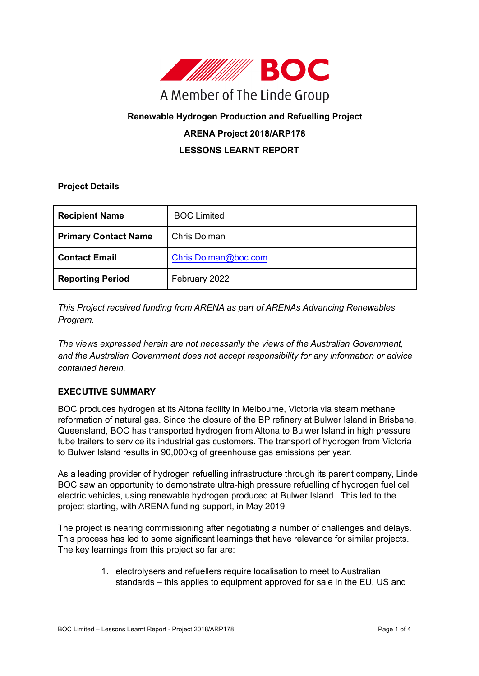

# **Renewable Hydrogen Production and Refuelling Project**

# **ARENA Project 2018/ARP178**

# **LESSONS LEARNT REPORT**

#### **Project Details**

| <b>Recipient Name</b>       | <b>BOC Limited</b>   |
|-----------------------------|----------------------|
| <b>Primary Contact Name</b> | Chris Dolman         |
| <b>Contact Email</b>        | Chris.Dolman@boc.com |
| <b>Reporting Period</b>     | February 2022        |

*This Project received funding from ARENA as part of ARENAs Advancing Renewables Program.*

*The views expressed herein are not necessarily the views of the Australian Government, and the Australian Government does not accept responsibility for any information or advice contained herein.*

## **EXECUTIVE SUMMARY**

BOC produces hydrogen at its Altona facility in Melbourne, Victoria via steam methane reformation of natural gas. Since the closure of the BP refinery at Bulwer Island in Brisbane, Queensland, BOC has transported hydrogen from Altona to Bulwer Island in high pressure tube trailers to service its industrial gas customers. The transport of hydrogen from Victoria to Bulwer Island results in 90,000kg of greenhouse gas emissions per year.

As a leading provider of hydrogen refuelling infrastructure through its parent company, Linde, BOC saw an opportunity to demonstrate ultra-high pressure refuelling of hydrogen fuel cell electric vehicles, using renewable hydrogen produced at Bulwer Island. This led to the project starting, with ARENA funding support, in May 2019.

The project is nearing commissioning after negotiating a number of challenges and delays. This process has led to some significant learnings that have relevance for similar projects. The key learnings from this project so far are:

> 1. electrolysers and refuellers require localisation to meet to Australian standards – this applies to equipment approved for sale in the EU, US and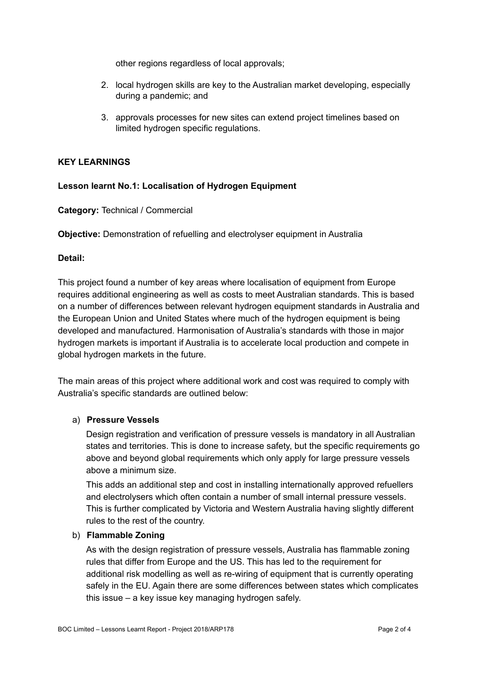other regions regardless of local approvals;

- 2. local hydrogen skills are key to the Australian market developing, especially during a pandemic; and
- 3. approvals processes for new sites can extend project timelines based on limited hydrogen specific regulations.

## **KEY LEARNINGS**

## **Lesson learnt No.1: Localisation of Hydrogen Equipment**

**Category:** Technical / Commercial

**Objective:** Demonstration of refuelling and electrolyser equipment in Australia

#### **Detail:**

This project found a number of key areas where localisation of equipment from Europe requires additional engineering as well as costs to meet Australian standards. This is based on a number of differences between relevant hydrogen equipment standards in Australia and the European Union and United States where much of the hydrogen equipment is being developed and manufactured. Harmonisation of Australia's standards with those in major hydrogen markets is important if Australia is to accelerate local production and compete in global hydrogen markets in the future.

The main areas of this project where additional work and cost was required to comply with Australia's specific standards are outlined below:

#### a) **Pressure Vessels**

Design registration and verification of pressure vessels is mandatory in all Australian states and territories. This is done to increase safety, but the specific requirements go above and beyond global requirements which only apply for large pressure vessels above a minimum size.

This adds an additional step and cost in installing internationally approved refuellers and electrolysers which often contain a number of small internal pressure vessels. This is further complicated by Victoria and Western Australia having slightly different rules to the rest of the country.

### b) **Flammable Zoning**

As with the design registration of pressure vessels, Australia has flammable zoning rules that differ from Europe and the US. This has led to the requirement for additional risk modelling as well as re-wiring of equipment that is currently operating safely in the EU. Again there are some differences between states which complicates this issue – a key issue key managing hydrogen safely.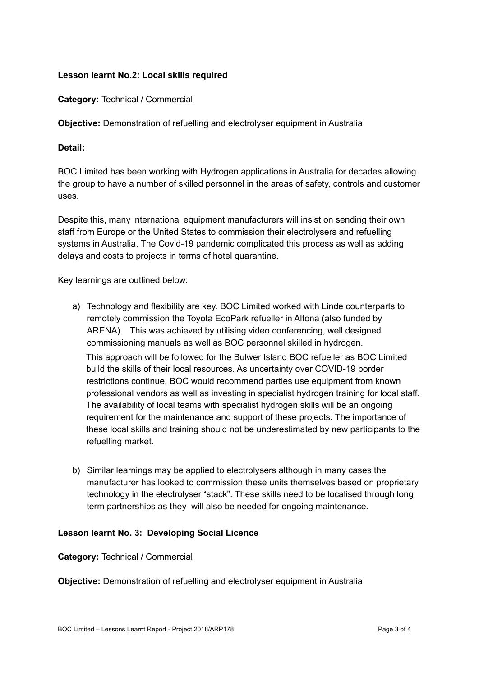## **Lesson learnt No.2: Local skills required**

**Category:** Technical / Commercial

**Objective:** Demonstration of refuelling and electrolyser equipment in Australia

## **Detail:**

BOC Limited has been working with Hydrogen applications in Australia for decades allowing the group to have a number of skilled personnel in the areas of safety, controls and customer uses.

Despite this, many international equipment manufacturers will insist on sending their own staff from Europe or the United States to commission their electrolysers and refuelling systems in Australia. The Covid-19 pandemic complicated this process as well as adding delays and costs to projects in terms of hotel quarantine.

Key learnings are outlined below:

- a) Technology and flexibility are key. BOC Limited worked with Linde counterparts to remotely commission the Toyota EcoPark refueller in Altona (also funded by ARENA). This was achieved by utilising video conferencing, well designed commissioning manuals as well as BOC personnel skilled in hydrogen. This approach will be followed for the Bulwer Island BOC refueller as BOC Limited build the skills of their local resources. As uncertainty over COVID-19 border restrictions continue, BOC would recommend parties use equipment from known professional vendors as well as investing in specialist hydrogen training for local staff. The availability of local teams with specialist hydrogen skills will be an ongoing requirement for the maintenance and support of these projects. The importance of these local skills and training should not be underestimated by new participants to the refuelling market.
- b) Similar learnings may be applied to electrolysers although in many cases the manufacturer has looked to commission these units themselves based on proprietary technology in the electrolyser "stack". These skills need to be localised through long term partnerships as they will also be needed for ongoing maintenance.

## **Lesson learnt No. 3: Developing Social Licence**

## **Category:** Technical / Commercial

**Objective:** Demonstration of refuelling and electrolyser equipment in Australia